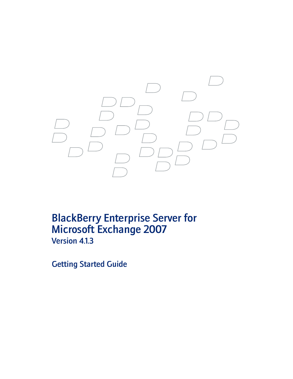

## BlackBerry Enterprise Server for Microsoft Exchange 2007

Version 4.1.3

Getting Started Guide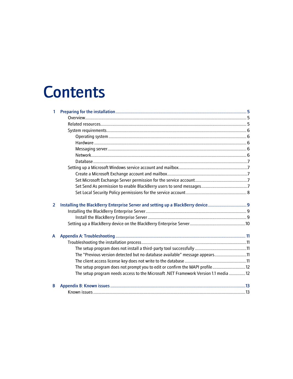# **Contents**

| 1              |                                                                                     |  |
|----------------|-------------------------------------------------------------------------------------|--|
|                |                                                                                     |  |
|                |                                                                                     |  |
|                |                                                                                     |  |
|                |                                                                                     |  |
|                |                                                                                     |  |
|                |                                                                                     |  |
|                |                                                                                     |  |
|                |                                                                                     |  |
|                |                                                                                     |  |
|                |                                                                                     |  |
|                |                                                                                     |  |
|                |                                                                                     |  |
|                |                                                                                     |  |
|                |                                                                                     |  |
| $\overline{2}$ |                                                                                     |  |
|                |                                                                                     |  |
|                |                                                                                     |  |
|                |                                                                                     |  |
| A              |                                                                                     |  |
|                |                                                                                     |  |
|                |                                                                                     |  |
|                | The "Previous version detected but no database available" message appears11         |  |
|                |                                                                                     |  |
|                |                                                                                     |  |
|                | The setup program needs access to the Microsoft .NET Framework Version 1.1 media 12 |  |
|                |                                                                                     |  |
| B              |                                                                                     |  |
|                |                                                                                     |  |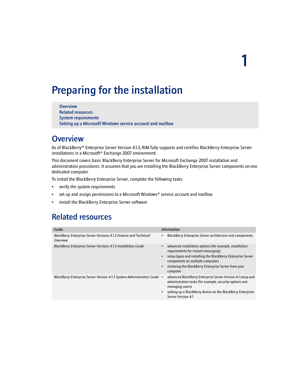## <span id="page-4-1"></span>Preparing for the installation

<span id="page-4-0"></span>**[Overview](#page-4-2)** [Related resources](#page-4-3) [System requirements](#page-5-0) [Setting up a Microsoft Windows service account and mailbox](#page-6-1)

### <span id="page-4-2"></span>**Overview**

As of BlackBerry® Enterprise Server Version 4.1.3, RIM fully supports and certifies BlackBerry Enterprise Server installations in a Microsoft® Exchange 2007 environment.

This document covers basic BlackBerry Enterprise Server for Microsoft Exchange 2007 installation and administration procedures. It assumes that you are installing the BlackBerry Enterprise Server components on one dedicated computer.

To install the BlackBerry Enterprise Server, complete the following tasks:

- verify the system requirements
- set up and assign permissions to a Microsoft Windows<sup>®</sup> service account and mailbox
- install the BlackBerry Enterprise Server software

## <span id="page-4-3"></span>Related resources

| Guide                                                                                              | <b>Information</b>                                                                                                                                                                                                                                                                                           |
|----------------------------------------------------------------------------------------------------|--------------------------------------------------------------------------------------------------------------------------------------------------------------------------------------------------------------------------------------------------------------------------------------------------------------|
| <b>BlackBerry Enterprise Server Versions 4.1.3 Feature and Technical</b><br><i><b>Overview</b></i> | <b>BlackBerry Enterprise Server architecture and components</b><br>$\bullet$                                                                                                                                                                                                                                 |
| <b>BlackBerry Enterprise Server Versions 4.1.3 Installation Guide</b>                              | advanced installation options (for example, installation<br>$\bullet$<br>requirements for instant messaging)<br>setup types and installing the BlackBerry Enterprise Server<br>$\bullet$<br>components on multiple computers<br>removing the BlackBerry Enterprise Server from your<br>$\bullet$<br>computer |
| <b>BlackBerry Enterprise Server Version 4.1.3 System Administration Guide •</b>                    | advanced BlackBerry Enterprise Server Version 4.1 setup and<br>administration tasks (for example, security options and<br>managing users)<br>setting up a BlackBerry device on the BlackBerry Enterprise<br>$\bullet$<br>Server Version 4.1                                                                  |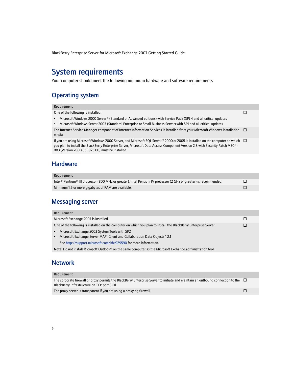## <span id="page-5-0"></span>System requirements

Your computer should meet the following minimum hardware and software requirements:

#### <span id="page-5-1"></span>Operating system

| Requirement                                                                                                                                                                                                                                                                                                                                     |  |  |
|-------------------------------------------------------------------------------------------------------------------------------------------------------------------------------------------------------------------------------------------------------------------------------------------------------------------------------------------------|--|--|
| One of the following is installed:                                                                                                                                                                                                                                                                                                              |  |  |
| Microsoft Windows 2000 Server® (Standard or Advanced editions) with Service Pack (SP) 4 and all critical updates<br>Microsoft Windows Server 2003 (Standard, Enterprise or Small Business Server) with SP1 and all critical updates                                                                                                             |  |  |
| The Internet Service Manager component of Internet Information Services is installed from your Microsoft Windows installation $\Box$<br>media.                                                                                                                                                                                                  |  |  |
| If you are using Microsoft Windows 2000 Server, and Microsoft SQL Server <sup><math>m</math></sup> 2000 or 2005 is installed on the computer on which $\Box$<br>you plan to install the BlackBerry Enterprise Server, Microsoft Data Access Component Version 2.8 with Security Patch MS04-<br>003 (Version 2000.85.1025.00) must be installed. |  |  |

#### <span id="page-5-2"></span>**Hardware**

| Requirement                                                                                                       |  |
|-------------------------------------------------------------------------------------------------------------------|--|
| Intel® Pentium® III processor (800 MHz or greater); Intel Pentium IV processor (2 GHz or greater) is recommended. |  |
| Minimum 1.5 or more gigabytes of RAM are available.                                                               |  |

#### <span id="page-5-3"></span>Messaging server

| Requirement                                                                                                      |  |  |
|------------------------------------------------------------------------------------------------------------------|--|--|
| Microsoft Exchange 2007 is installed.                                                                            |  |  |
| One of the following is installed on the computer on which you plan to install the BlackBerry Enterprise Server: |  |  |
| Microsoft Exchange 2003 System Tools with SP2<br>٠                                                               |  |  |
| Microsoft Exchange Server MAPI Client and Collaboration Data Objects 1.2.1                                       |  |  |
| See http://support.microsoft.com/kb/929590 for more information.                                                 |  |  |
| Note: Do not install Microsoft Outlook® on the same computer as the Microsoft Exchange administration tool.      |  |  |

#### <span id="page-5-4"></span>**Network**

Requirement The corporate firewall or proxy permits the BlackBerry Enterprise Server to initiate and maintain an outbound connection to the  $\;\;\Box$ BlackBerry Infrastructure on TCP port 3101. The proxy server is transparent if you are using a proxying firewall.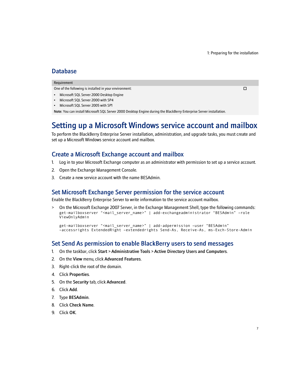$\Box$ 

#### <span id="page-6-0"></span>Database

#### Requirement

One of the following is installed in your environment:

- Microsoft SQL Server 2000 Desktop Engine
- Microsoft SQL Server 2000 with SP4
- Microsoft SQL Server 2005 with SP1

Note: You can install Microsoft SQL Server 2000 Desktop Engine during the BlackBerry Enterprise Server installation.

### <span id="page-6-1"></span>Setting up a Microsoft Windows service account and mailbox

To perform the BlackBerry Enterprise Server installation, administration, and upgrade tasks, you must create and set up a Microsoft Windows service account and mailbox.

#### <span id="page-6-2"></span>Create a Microsoft Exchange account and mailbox

- 1. Log in to your Microsoft Exchange computer as an administrator with permission to set up a service account.
- 2. Open the Exchange Management Console.
- 3. Create a new service account with the name BESAdmin.

#### <span id="page-6-3"></span>Set Microsoft Exchange Server permission for the service account

Enable the BlackBerry Enterprise Server to write information to the service account mailbox.

> On the Microsoft Exchange 2007 Server, in the Exchange Management Shell, type the following commands: get-mailboxserver "<mail\_server\_name>" | add-exchangeadministrator "BESAdmin" –role ViewOnlyAdmin

```
get-mailboxserver "<mail_server_name>" | add-adpermission –user "BESAdmin" 
–accessrights ExtendedRight –extendedrights Send-As, Receive-As, ms-Exch-Store-Admin
```
#### <span id="page-6-4"></span>Set Send As permission to enable BlackBerry users to send messages

- 1. On the taskbar, click Start > Administrative Tools > Active Directory Users and Computers.
- 2. On the View menu, click Advanced Features.
- 3. Right-click the root of the domain.
- 4. Click Properties.
- 5. On the Security tab, click Advanced.
- 6. Click Add.
- 7. Type BESAdmin.
- 8. Click Check Name.
- 9. Click OK.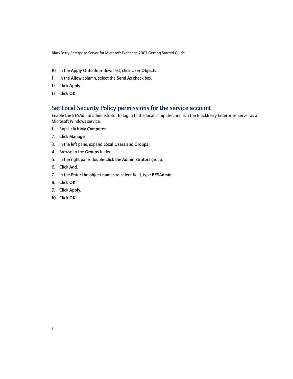- 10. In the Apply Onto drop-down list, click User Objects.
- 11. In the Allow column, select the Send As check box.
- 12. Click Apply.
- 13. Click OK.

#### <span id="page-7-0"></span>Set Local Security Policy permissions for the service account

Enable the BESAdmin administrator to log in to the local computer, and run the BlackBerry Enterprise Server as a Microsoft Windows service.

- 1. Right-click My Computer.
- 2. Click Manage.
- 3. In the left pane, expand Local Users and Groups.
- 4. Browse to the Groups folder.
- 5. In the right pane, double-click the Administrators group.
- 6. Click Add.
- 7. In the Enter the object names to select field, type BESAdmin.
- 8. Click OK.
- 9. Click Apply.
- 10. Click OK.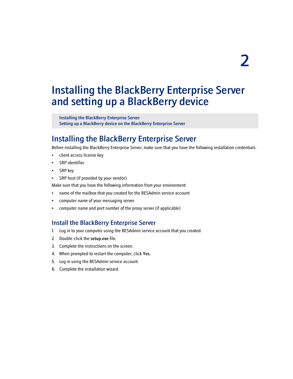## <span id="page-8-1"></span><span id="page-8-0"></span>Installing the BlackBerry Enterprise Server and setting up a BlackBerry device

[Installing the BlackBerry Enterprise Server](#page-8-2) [Setting up a BlackBerry device on the BlackBerry Enterprise Server](#page-9-0)

### <span id="page-8-2"></span>Installing the BlackBerry Enterprise Server

Before installing the BlackBerry Enterprise Server, make sure that you have the following installation credentials:

- client access license key
- **SRP** identifier
- SRP key
- SRP host (if provided by your vendor)

Make sure that you have the following information from your environment:

- name of the mailbox that you created for the BESAdmin service account
- computer name of your messaging server
- computer name and port number of the proxy server (if applicable)

#### <span id="page-8-3"></span>Install the BlackBerry Enterprise Server

- 1. Log in to your computer using the BESAdmin service account that you created.
- 2. Double-click the setup.exe file.
- 3. Complete the instructions on the screen.
- 4. When prompted to restart the computer, click Yes.
- 5. Log in using the BESAdmin service account.
- 6. Complete the installation wizard.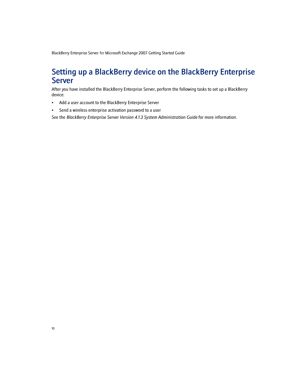### <span id="page-9-0"></span>Setting up a BlackBerry device on the BlackBerry Enterprise Server

After you have installed the BlackBerry Enterprise Server, perform the following tasks to set up a BlackBerry device:

- Add a user account to the BlackBerry Enterprise Server
- Send a wireless enterprise activation password to a user

See the *BlackBerry Enterprise Server Version 4.1.3 System Administration Guide* for more information.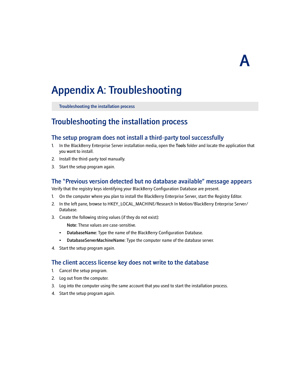## <span id="page-10-1"></span>Appendix A: Troubleshooting

<span id="page-10-0"></span>[Troubleshooting the installation process](#page-10-2)

## <span id="page-10-2"></span>Troubleshooting the installation process

#### <span id="page-10-3"></span>The setup program does not install a third-party tool successfully

- 1. In the BlackBerry Enterprise Server installation media, open the Tools folder and locate the application that you want to install.
- 2. Install the third-party tool manually.
- 3. Start the setup program again.

#### <span id="page-10-4"></span>The "Previous version detected but no database available" message appears

Verify that the registry keys identifying your BlackBerry Configuration Database are present.

- 1. On the computer where you plan to install the BlackBerry Enterprise Server, start the Registry Editor.
- 2. In the left pane, browse to HKEY\_LOCAL\_MACHINE/Research In Motion/BlackBerry Enterprise Server/ Database.
- 3. Create the following string values (if they do not exist):

Note: These values are case-sensitive.

- DatabaseName: Type the name of the BlackBerry Configuration Database.
- DatabaseServerMachineName: Type the computer name of the database server.
- 4. Start the setup program again.

#### <span id="page-10-5"></span>The client access license key does not write to the database

- 1. Cancel the setup program.
- 2. Log out from the computer.
- 3. Log into the computer using the same account that you used to start the installation process.
- 4. Start the setup program again.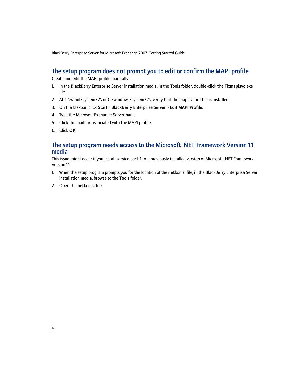#### <span id="page-11-0"></span>The setup program does not prompt you to edit or confirm the MAPI profile

Create and edit the MAPI profile manually.

- 1. In the BlackBerry Enterprise Server installation media, in the Tools folder, double-click the Fixmapisvc.exe file.
- 2. At C:\winnt\system32\ or C:\windows\system32\, verify that the mapisvc.inf file is installed.
- 3. On the taskbar, click Start > BlackBerry Enterprise Server > Edit MAPI Profile.
- 4. Type the Microsoft Exchange Server name.
- 5. Click the mailbox associated with the MAPI profile.
- 6. Click OK.

#### <span id="page-11-1"></span>The setup program needs access to the Microsoft .NET Framework Version 1.1 media

This issue might occur if you install service pack 1 to a previously installed version of Microsoft .NET Framework Version 1.1.

- 1. When the setup program prompts you for the location of the netfx.msi file, in the BlackBerry Enterprise Server installation media, browse to the Tools folder.
- 2. Open the netfx.msi file.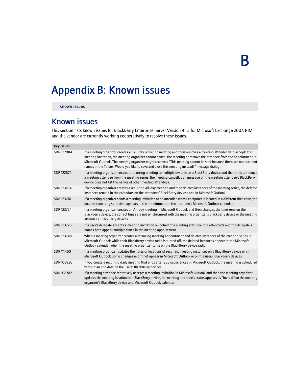## <span id="page-12-1"></span>Appendix B: Known issues

<span id="page-12-0"></span>[Known issues](#page-12-2)

### <span id="page-12-2"></span>Known issues

This section lists known issues for BlackBerry Enterprise Server Version 4.1.3 for Microsoft Exchange 2007. RIM and the vendor are currently working cooperatively to resolve these issues.

| <b>Key issues</b> |                                                                                                                                                                                                                                                                                                                                                                                                                                                               |
|-------------------|---------------------------------------------------------------------------------------------------------------------------------------------------------------------------------------------------------------------------------------------------------------------------------------------------------------------------------------------------------------------------------------------------------------------------------------------------------------|
| SDR 122984        | If a meeting organizer creates an All-day recurring meeting and then removes a meeting attendee who accepts the<br>meeting invitation, the meeting organizer cannot cancel the meeting or remove the attendee from the appointment in<br>Microsoft Outlook. The meeting organizer might receive a "This meeting cannot be sent because there are no receipent<br>names in the To box. Would you like to save and close this meeting instead?" message dialog. |
| SDR 122872        | If a meeting organizer creates a recurring meeting to multiple invitees on a BlackBerry device and then tries to remove<br>a meeting attendee from the meeting series, the meeting cancellation message on the meeting attendee's BlackBerry<br>device does not list the names of other meeting attendees.                                                                                                                                                    |
| SDR 123234        | If a meeting organizer creates a recurring All-day meeting and then deletes instances of the meeting series, the deleted<br>instances remain in the calendars on the attendees' BlackBerry devices and in Microsoft Outlook.                                                                                                                                                                                                                                  |
| SDR 123716        | If a meeting organizer sends a meeting invitation to an attendee whose computer is located in a different time zone, the<br>incorrect meeting start time appears in the appointment in the attendee's Microsoft Outlook calendar.                                                                                                                                                                                                                             |
| SDR 123724        | If a meeting organizer creates an All-day meeting in Microsoft Outlook and then changes the time zone on their<br>BlackBerry device, the correct times are not synchronized with the meeting organizer's BlackBerry device or the meeting<br>attendees' BlackBerry devices.                                                                                                                                                                                   |
| SDR 123726        | If a user's delegate accepts a meeting invitation on behalf of a meeting attendee, the attendee's and the delegate's<br>names both appear multiple times in the meeting appointment.                                                                                                                                                                                                                                                                          |
| SDR 123748        | When a meeting organizer creates a recurring meeting appointment and deletes instances of the meeting series in<br>Microsoft Outlook while their BlackBerry device radio is turned off, the deleted instances appear in the Microsoft<br>Outlook calendar when the meeting organizer turns on the BlackBerry device radio.                                                                                                                                    |
| SDR 111460        | If a meeting organizer updates the notes or locations of recurring meeting instances on a BlackBerry device or in<br>Microsoft Outlook, some changes might not appear in Microsoft Outlook or on the users' BlackBerry devices.                                                                                                                                                                                                                               |
| <b>SDR108930</b>  | If you create a recurring daily meeting that ends after 365 occurrences in Microsoft Outlook, the meeting is scheduled<br>without an end date on the users' BlackBerry devices.                                                                                                                                                                                                                                                                               |
| SDR 108382        | If a meeting attendee tentatively accepts a meeting invitation in Microsoft Outlook and then the meeting organizer<br>updates the meeting location on a BlackBerry device, the meeting attendee's status appears as "Invited" on the meeting<br>organizer's BlackBerry device and Microsoft Outlook calendar.                                                                                                                                                 |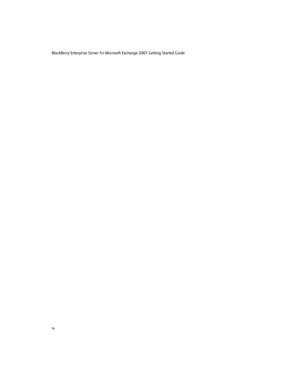BlackBerry Enterprise Server for Microsoft Exchange 2007 Getting Started Guide